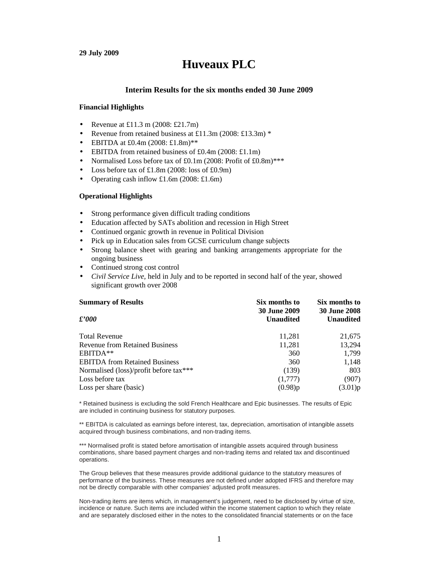#### **29 July 2009**

# **Huveaux PLC**

#### **Interim Results for the six months ended 30 June 2009**

#### **Financial Highlights**

- Revenue at £11.3 m  $(2008: £21.7m)$
- Revenue from retained business at £11.3m (2008: £13.3m) \*
- EBITDA at £0.4m (2008: £1.8m)\*\*
- EBITDA from retained business of £0.4m (2008: £1.1m)
- Normalised Loss before tax of £0.1m (2008: Profit of £0.8m)\*\*\*
- Loss before tax of  $£1.8m$  (2008: loss of £0.9m)
- Operating cash inflow  $£1.6m$  (2008: £1.6m)

#### **Operational Highlights**

- Strong performance given difficult trading conditions
- Education affected by SATs abolition and recession in High Street
- Continued organic growth in revenue in Political Division
- Pick up in Education sales from GCSE curriculum change subjects
- Strong balance sheet with gearing and banking arrangements appropriate for the ongoing business
- Continued strong cost control
- *Civil Service Live,* held in July and to be reported in second half of the year, showed significant growth over 2008

| <b>Summary of Results</b>              | Six months to                           | Six months to                           |
|----------------------------------------|-----------------------------------------|-----------------------------------------|
| $\pounds'000$                          | <b>30 June 2009</b><br><b>Unaudited</b> | <b>30 June 2008</b><br><b>Unaudited</b> |
| <b>Total Revenue</b>                   | 11,281                                  | 21,675                                  |
| <b>Revenue from Retained Business</b>  | 11,281                                  | 13,294                                  |
| EBITDA**                               | 360                                     | 1,799                                   |
| <b>EBITDA</b> from Retained Business   | 360                                     | 1,148                                   |
| Normalised (loss)/profit before tax*** | (139)                                   | 803                                     |
| Loss before tax                        | (1,777)                                 | (907)                                   |
| Loss per share (basic)                 | (0.98)p                                 | (3.01)p                                 |

\* Retained business is excluding the sold French Healthcare and Epic businesses. The results of Epic are included in continuing business for statutory purposes.

\*\* EBITDA is calculated as earnings before interest, tax, depreciation, amortisation of intangible assets acquired through business combinations, and non-trading items.

\*\*\* Normalised profit is stated before amortisation of intangible assets acquired through business combinations, share based payment charges and non-trading items and related tax and discontinued operations.

The Group believes that these measures provide additional guidance to the statutory measures of performance of the business. These measures are not defined under adopted IFRS and therefore may not be directly comparable with other companies' adjusted profit measures.

Non-trading items are items which, in management's judgement, need to be disclosed by virtue of size, incidence or nature. Such items are included within the income statement caption to which they relate and are separately disclosed either in the notes to the consolidated financial statements or on the face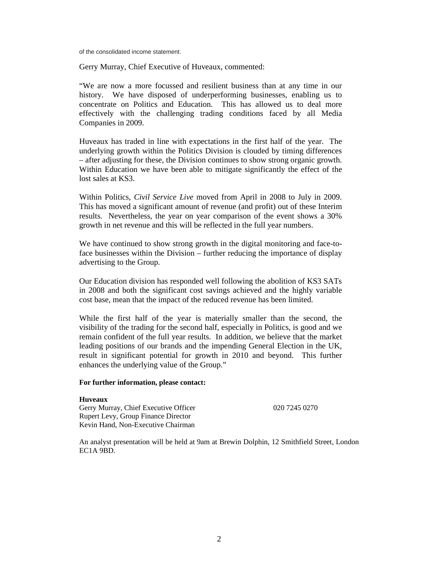of the consolidated income statement.

Gerry Murray, Chief Executive of Huveaux, commented:

"We are now a more focussed and resilient business than at any time in our history. We have disposed of underperforming businesses, enabling us to concentrate on Politics and Education. This has allowed us to deal more effectively with the challenging trading conditions faced by all Media Companies in 2009.

Huveaux has traded in line with expectations in the first half of the year. The underlying growth within the Politics Division is clouded by timing differences – after adjusting for these, the Division continues to show strong organic growth. Within Education we have been able to mitigate significantly the effect of the lost sales at KS3.

Within Politics, *Civil Service Live* moved from April in 2008 to July in 2009. This has moved a significant amount of revenue (and profit) out of these Interim results. Nevertheless, the year on year comparison of the event shows a 30% growth in net revenue and this will be reflected in the full year numbers.

We have continued to show strong growth in the digital monitoring and face-toface businesses within the Division – further reducing the importance of display advertising to the Group.

Our Education division has responded well following the abolition of KS3 SATs in 2008 and both the significant cost savings achieved and the highly variable cost base, mean that the impact of the reduced revenue has been limited.

While the first half of the year is materially smaller than the second, the visibility of the trading for the second half, especially in Politics, is good and we remain confident of the full year results. In addition, we believe that the market leading positions of our brands and the impending General Election in the UK, result in significant potential for growth in 2010 and beyond. This further enhances the underlying value of the Group."

#### **For further information, please contact:**

#### **Huveaux**

Gerry Murray, Chief Executive Officer 020 7245 0270 Rupert Levy, Group Finance Director Kevin Hand, Non-Executive Chairman

An analyst presentation will be held at 9am at Brewin Dolphin, 12 Smithfield Street, London EC1A 9BD.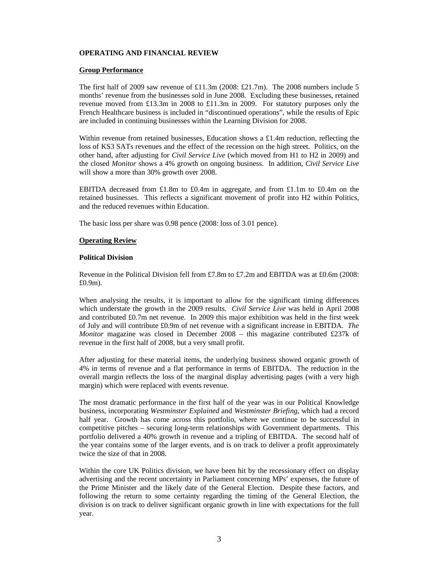# **OPERATING AND FINANCIAL REVIEW**

#### **Group Performance**

The first half of 2009 saw revenue of  $£11.3m$  (2008: £21.7m). The 2008 numbers include 5 months' revenue from the businesses sold in June 2008. Excluding these businesses, retained revenue moved from £13.3m in 2008 to £11.3m in 2009. For statutory purposes only the French Healthcare business is included in "discontinued operations", while the results of Epic are included in continuing businesses within the Learning Division for 2008.

Within revenue from retained businesses, Education shows a £1.4m reduction, reflecting the loss of KS3 SATs revenues and the effect of the recession on the high street. Politics, on the other hand, after adjusting for *Civil Service Live* (which moved from H1 to H2 in 2009) and the closed *Monitor* shows a 4% growth on ongoing business. In addition, *Civil Service Live*  will show a more than 30% growth over 2008.

EBITDA decreased from £1.8m to £0.4m in aggregate, and from £1.1m to £0.4m on the retained businesses. This reflects a significant movement of profit into H2 within Politics, and the reduced revenues within Education.

The basic loss per share was 0.98 pence (2008: loss of 3.01 pence).

## **Operating Review**

#### **Political Division**

Revenue in the Political Division fell from £7.8m to £7.2m and EBITDA was at £0.6m (2008: £0.9m).

When analysing the results, it is important to allow for the significant timing differences which understate the growth in the 2009 results. *Civil Service Live* was held in April 2008 and contributed £0.7m net revenue. In 2009 this major exhibition was held in the first week of July and will contribute £0.9m of net revenue with a significant increase in EBITDA. *The Monitor* magazine was closed in December 2008 – this magazine contributed £237k of revenue in the first half of 2008, but a very small profit.

After adjusting for these material items, the underlying business showed organic growth of 4% in terms of revenue and a flat performance in terms of EBITDA. The reduction in the overall margin reflects the loss of the marginal display advertising pages (with a very high margin) which were replaced with events revenue.

The most dramatic performance in the first half of the year was in our Political Knowledge business, incorporating *Westminster Explained* and *Westminster Briefing*, which had a record half year. Growth has come across this portfolio, where we continue to be successful in competitive pitches – securing long-term relationships with Government departments. This portfolio delivered a 40% growth in revenue and a tripling of EBITDA. The second half of the year contains some of the larger events, and is on track to deliver a profit approximately twice the size of that in 2008.

Within the core UK Politics division, we have been hit by the recessionary effect on display advertising and the recent uncertainty in Parliament concerning MPs' expenses, the future of the Prime Minister and the likely date of the General Election. Despite these factors, and following the return to some certainty regarding the timing of the General Election, the division is on track to deliver significant organic growth in line with expectations for the full year.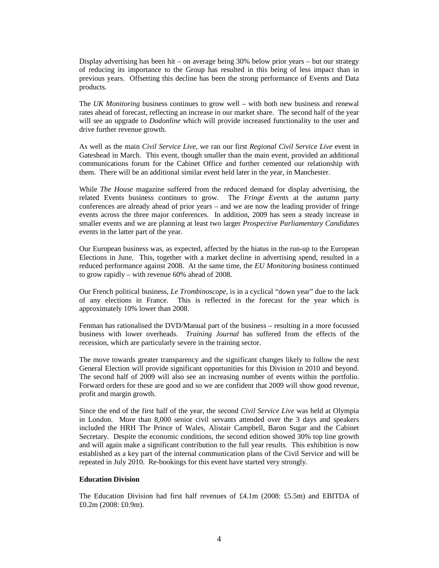Display advertising has been hit – on average being 30% below prior years – but our strategy of reducing its importance to the Group has resulted in this being of less impact than in previous years. Offsetting this decline has been the strong performance of Events and Data products.

The *UK Monitoring* business continues to grow well – with both new business and renewal rates ahead of forecast, reflecting an increase in our market share. The second half of the year will see an upgrade to *Dodonline* which will provide increased functionality to the user and drive further revenue growth.

As well as the main *Civil Service Live*, we ran our first *Regional Civil Service Live* event in Gateshead in March. This event, though smaller than the main event, provided an additional communications forum for the Cabinet Office and further cemented our relationship with them. There will be an additional similar event held later in the year, in Manchester.

While *The House* magazine suffered from the reduced demand for display advertising, the related Events business continues to grow. The *Fringe Events* at the autumn party conferences are already ahead of prior years – and we are now the leading provider of fringe events across the three major conferences. In addition, 2009 has seen a steady increase in smaller events and we are planning at least two larger *Prospective Parliamentary Candidates* events in the latter part of the year.

Our European business was, as expected, affected by the hiatus in the run-up to the European Elections in June. This, together with a market decline in advertising spend, resulted in a reduced performance against 2008. At the same time, the *EU Monitoring* business continued to grow rapidly – with revenue 60% ahead of 2008.

Our French political business, *Le Trombinoscope*, is in a cyclical "down year" due to the lack of any elections in France. This is reflected in the forecast for the year which is approximately 10% lower than 2008.

Fenman has rationalised the DVD/Manual part of the business – resulting in a more focussed business with lower overheads. *Training Journal* has suffered from the effects of the recession, which are particularly severe in the training sector.

The move towards greater transparency and the significant changes likely to follow the next General Election will provide significant opportunities for this Division in 2010 and beyond. The second half of 2009 will also see an increasing number of events within the portfolio. Forward orders for these are good and so we are confident that 2009 will show good revenue, profit and margin growth.

Since the end of the first half of the year, the second *Civil Service Live* was held at Olympia in London. More than 8,000 senior civil servants attended over the 3 days and speakers included the HRH The Prince of Wales, Alistair Campbell, Baron Sugar and the Cabinet Secretary. Despite the economic conditions, the second edition showed 30% top line growth and will again make a significant contribution to the full year results. This exhibition is now established as a key part of the internal communication plans of the Civil Service and will be repeated in July 2010. Re-bookings for this event have started very strongly.

#### **Education Division**

The Education Division had first half revenues of £4.1m (2008: £5.5m) and EBITDA of £0.2m (2008: £0.9m).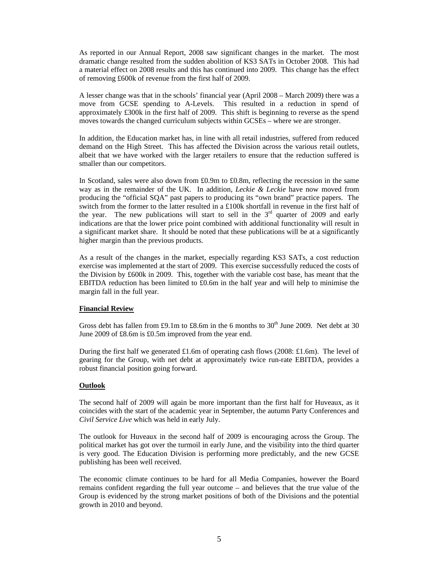As reported in our Annual Report, 2008 saw significant changes in the market. The most dramatic change resulted from the sudden abolition of KS3 SATs in October 2008. This had a material effect on 2008 results and this has continued into 2009. This change has the effect of removing £600k of revenue from the first half of 2009.

A lesser change was that in the schools' financial year (April 2008 – March 2009) there was a move from GCSE spending to A-Levels. This resulted in a reduction in spend of approximately £300k in the first half of 2009. This shift is beginning to reverse as the spend moves towards the changed curriculum subjects within GCSEs – where we are stronger.

In addition, the Education market has, in line with all retail industries, suffered from reduced demand on the High Street. This has affected the Division across the various retail outlets, albeit that we have worked with the larger retailers to ensure that the reduction suffered is smaller than our competitors.

In Scotland, sales were also down from £0.9m to £0.8m, reflecting the recession in the same way as in the remainder of the UK. In addition, *Leckie & Leckie* have now moved from producing the "official SQA" past papers to producing its "own brand" practice papers. The switch from the former to the latter resulted in a £100k shortfall in revenue in the first half of the year. The new publications will start to sell in the  $3<sup>rd</sup>$  quarter of 2009 and early indications are that the lower price point combined with additional functionality will result in a significant market share. It should be noted that these publications will be at a significantly higher margin than the previous products.

As a result of the changes in the market, especially regarding KS3 SATs, a cost reduction exercise was implemented at the start of 2009. This exercise successfully reduced the costs of the Division by £600k in 2009. This, together with the variable cost base, has meant that the EBITDA reduction has been limited to  $£0.6m$  in the half year and will help to minimise the margin fall in the full year.

## **Financial Review**

Gross debt has fallen from £9.1m to £8.6m in the 6 months to  $30<sup>th</sup>$  June 2009. Net debt at 30 June 2009 of £8.6m is £0.5m improved from the year end.

During the first half we generated £1.6m of operating cash flows (2008: £1.6m). The level of gearing for the Group, with net debt at approximately twice run-rate EBITDA, provides a robust financial position going forward.

## **Outlook**

The second half of 2009 will again be more important than the first half for Huveaux, as it coincides with the start of the academic year in September, the autumn Party Conferences and *Civil Service Live* which was held in early July.

The outlook for Huveaux in the second half of 2009 is encouraging across the Group. The political market has got over the turmoil in early June, and the visibility into the third quarter is very good. The Education Division is performing more predictably, and the new GCSE publishing has been well received.

The economic climate continues to be hard for all Media Companies, however the Board remains confident regarding the full year outcome – and believes that the true value of the Group is evidenced by the strong market positions of both of the Divisions and the potential growth in 2010 and beyond.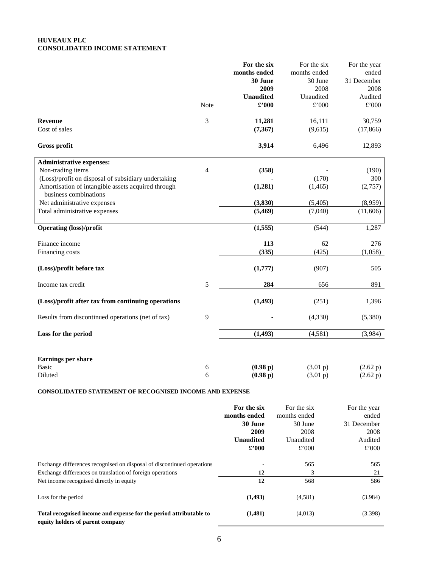## **HUVEAUX PLC CONSOLIDATED INCOME STATEMENT**

|                                                                             |                | For the six      | For the six   | For the year  |             |
|-----------------------------------------------------------------------------|----------------|------------------|---------------|---------------|-------------|
|                                                                             |                | months ended     | months ended  | ended         |             |
|                                                                             |                |                  | 30 June       | 30 June       | 31 December |
|                                                                             |                | 2009             | 2008          | 2008          |             |
|                                                                             |                | <b>Unaudited</b> | Unaudited     | Audited       |             |
|                                                                             | Note           | $\pounds$ '000   | $\pounds$ 000 | $\pounds$ 000 |             |
| <b>Revenue</b>                                                              | 3              | 11,281           | 16,111        | 30,759        |             |
| Cost of sales                                                               |                | (7, 367)         | (9,615)       | (17, 866)     |             |
| <b>Gross profit</b>                                                         |                | 3,914            | 6,496         | 12,893        |             |
| <b>Administrative expenses:</b>                                             |                |                  |               |               |             |
| Non-trading items                                                           | $\overline{4}$ | (358)            |               | (190)         |             |
| (Loss)/profit on disposal of subsidiary undertaking                         |                |                  | (170)         | 300           |             |
| Amortisation of intangible assets acquired through<br>business combinations |                | (1, 281)         | (1, 465)      | (2,757)       |             |
| Net administrative expenses                                                 |                | (3, 830)         | (5,405)       | (8,959)       |             |
| Total administrative expenses                                               |                | (5, 469)         | (7,040)       | (11,606)      |             |
| <b>Operating (loss)/profit</b>                                              |                | (1, 555)         | (544)         | 1,287         |             |
| Finance income                                                              |                | 113              | 62            | 276           |             |
| Financing costs                                                             |                | (335)            | (425)         | (1,058)       |             |
| (Loss)/profit before tax                                                    |                | (1,777)          | (907)         | 505           |             |
| Income tax credit                                                           | 5              | 284              | 656           | 891           |             |
| (Loss)/profit after tax from continuing operations                          |                | (1, 493)         | (251)         | 1,396         |             |
| Results from discontinued operations (net of tax)                           | 9              |                  | (4, 330)      | (5,380)       |             |
| Loss for the period                                                         |                | (1, 493)         | (4,581)       | (3,984)       |             |
| Earnings per share                                                          |                |                  |               |               |             |
| <b>Basic</b>                                                                | 6              | (0.98 p)         | (3.01 p)      | (2.62 p)      |             |
| Diluted                                                                     | 6              | (0.98 p)         | (3.01 p)      | (2.62 p)      |             |
|                                                                             |                |                  |               |               |             |

# **CONSOLIDATED STATEMENT OF RECOGNISED INCOME AND EXPENSE**

|                                                                                                        | For the six      | For the six  | For the year |
|--------------------------------------------------------------------------------------------------------|------------------|--------------|--------------|
|                                                                                                        | months ended     | months ended | ended        |
|                                                                                                        | 30 June          | 30 June      | 31 December  |
|                                                                                                        | 2009             | 2008         | 2008         |
|                                                                                                        | <b>Unaudited</b> | Unaudited    | Audited      |
|                                                                                                        | $\pounds$ '000   | £'000        | £'000        |
| Exchange differences recognised on disposal of discontinued operations                                 | 12               | 565          | 565          |
| Exchange differences on translation of foreign operations                                              |                  | 3            | 21           |
| Net income recognised directly in equity                                                               | 12               | 568          | 586          |
| Loss for the period                                                                                    | (1, 493)         | (4,581)      | (3.984)      |
| Total recognised income and expense for the period attributable to<br>equity holders of parent company | (1,481)          | (4,013)      | (3.398)      |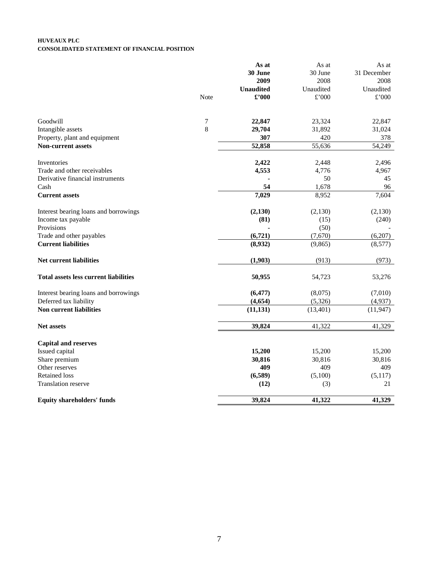#### **HUVEAUX PLC CONSOLIDATED STATEMENT OF FINANCIAL POSITION**

|                                              |      | As at            | As at     | As at          |
|----------------------------------------------|------|------------------|-----------|----------------|
|                                              |      | <b>30 June</b>   | 30 June   | 31 December    |
|                                              |      | 2009             | 2008      | 2008           |
|                                              |      | <b>Unaudited</b> | Unaudited | Unaudited      |
|                                              | Note | $\pounds$ '000   | £'000     | $\pounds$ '000 |
| Goodwill                                     | 7    | 22,847           | 23,324    | 22,847         |
| Intangible assets                            | 8    | 29,704           | 31,892    | 31,024         |
| Property, plant and equipment                |      | 307              | 420       | 378            |
| <b>Non-current assets</b>                    |      | 52,858           | 55,636    | 54,249         |
| Inventories                                  |      | 2,422            | 2,448     | 2,496          |
| Trade and other receivables                  |      | 4,553            | 4,776     | 4,967          |
| Derivative financial instruments             |      |                  | 50        | 45             |
| Cash                                         |      | 54               | 1,678     | 96             |
| <b>Current assets</b>                        |      | 7,029            | 8,952     | 7,604          |
| Interest bearing loans and borrowings        |      | (2,130)          | (2,130)   | (2,130)        |
| Income tax payable                           |      | (81)             | (15)      | (240)          |
| Provisions                                   |      |                  | (50)      |                |
| Trade and other payables                     |      | (6, 721)         | (7,670)   | (6,207)        |
| <b>Current liabilities</b>                   |      | (8,932)          | (9, 865)  | (8,577)        |
| Net current liabilities                      |      | (1,903)          | (913)     | (973)          |
| <b>Total assets less current liabilities</b> |      | 50,955           | 54,723    | 53,276         |
| Interest bearing loans and borrowings        |      | (6, 477)         | (8,075)   | (7,010)        |
| Deferred tax liability                       |      | (4, 654)         | (5, 326)  | (4,937)        |
| <b>Non current liabilities</b>               |      | (11, 131)        | (13, 401) | (11, 947)      |
| <b>Net assets</b>                            |      | 39,824           | 41,322    | 41,329         |
| <b>Capital and reserves</b>                  |      |                  |           |                |
| Issued capital                               |      | 15,200           | 15,200    | 15,200         |
| Share premium                                |      | 30,816           | 30,816    | 30,816         |
| Other reserves                               |      | 409              | 409       | 409            |
| <b>Retained loss</b>                         |      | (6,589)          | (5,100)   | (5,117)        |
| Translation reserve                          |      | (12)             | (3)       | 21             |
| <b>Equity shareholders' funds</b>            |      | 39,824           | 41,322    | 41,329         |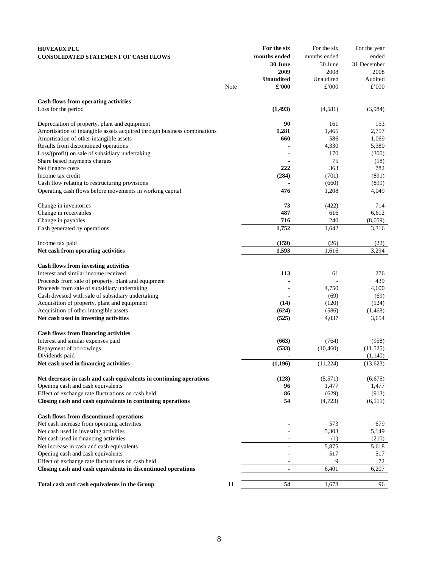| <b>HUVEAUX PLC</b>                                                       |      | For the six      | For the six   | For the year |
|--------------------------------------------------------------------------|------|------------------|---------------|--------------|
| <b>CONSOLIDATED STATEMENT OF CASH FLOWS</b>                              |      | months ended     | months ended  | ended        |
|                                                                          |      | 30 June          | 30 June       | 31 December  |
|                                                                          |      | 2009             | 2008          | 2008         |
|                                                                          |      | <b>Unaudited</b> | Unaudited     | Audited      |
|                                                                          | Note | £'000            | $\pounds$ 000 | £'000        |
|                                                                          |      |                  |               |              |
| Cash flows from operating activities                                     |      |                  |               |              |
| Loss for the period                                                      |      | (1,493)          | (4,581)       | (3,984)      |
|                                                                          |      |                  |               |              |
| Depreciation of property, plant and equipment                            |      | 90               | 161           | 153          |
| Amortisation of intangible assets acquired through business combinations |      | 1,281            | 1,465         | 2,757        |
| Amortisation of other intangible assets                                  |      | 660              | 586           | 1,069        |
| Results from discontinued operations                                     |      |                  | 4,330         | 5,380        |
| Loss/(profit) on sale of subsidiary undertaking                          |      |                  | 170           | (300)        |
| Share based payments charges                                             |      |                  | 75            | (18)         |
| Net finance costs                                                        |      | 222              | 363           | 782          |
| Income tax credit                                                        |      | (284)            | (701)         | (891)        |
| Cash flow relating to restructuring provisions                           |      |                  | (660)         | (899)        |
| Operating cash flows before movements in working capital                 |      | 476              | 1,208         | 4,049        |
|                                                                          |      |                  |               |              |
| Change in inventories                                                    |      | 73               | (422)         | 714          |
| Change in receivables                                                    |      | 487              | 616           | 6,612        |
| Change in payables                                                       |      | 716              | 240           | (8,059)      |
| Cash generated by operations                                             |      | 1,752            | 1,642         | 3,316        |
|                                                                          |      |                  |               |              |
| Income tax paid                                                          |      | (159)            | (26)          | (22)         |
| Net cash from operating activities                                       |      | 1,593            | 1,616         | 3,294        |
| <b>Cash flows from investing activities</b>                              |      |                  |               |              |
| Interest and similar income received                                     |      | 113              | 61            | 276          |
| Proceeds from sale of property, plant and equipment                      |      |                  |               | 439          |
| Proceeds from sale of subsidiary undertaking                             |      |                  | 4,750         | 4,600        |
| Cash divested with sale of subsidiary undertaking                        |      |                  | (69)          | (69)         |
| Acquisition of property, plant and equipment                             |      | (14)             | (120)         | (124)        |
| Acquisition of other intangible assets                                   |      | (624)            | (586)         | (1, 468)     |
| Net cash used in investing activities                                    |      | (525)            | 4,037         | 3,654        |
|                                                                          |      |                  |               |              |
| <b>Cash flows from financing activities</b>                              |      |                  |               |              |
| Interest and similar expenses paid                                       |      | (663)            | (764)         | (958)        |
| Repayment of borrowings                                                  |      | (533)            | (10, 460)     | (11, 525)    |
| Dividends paid                                                           |      |                  |               | (1,140)      |
| Net cash used in financing activities                                    |      | (1,196)          | (11,224)      | (13,623)     |
|                                                                          |      |                  |               |              |
| Net decrease in cash and cash equivalents in continuing operations       |      | (128)            | (5,571)       | (6,675)      |
| Opening cash and cash equivalents                                        |      | 96               | 1,477         | 1,477        |
| Effect of exchange rate fluctuations on cash held                        |      | 86               | (629)         | (913)        |
| Closing cash and cash equivalents in continuing operations               |      | 54               | (4, 723)      | (6, 111)     |
|                                                                          |      |                  |               |              |
| Cash flows from discontinued operations                                  |      |                  |               |              |
| Net cash increase from operating activities                              |      |                  | 573           | 679          |
| Net cash used in investing activities                                    |      |                  | 5,303         | 5,149        |
| Net cash used in financing activities                                    |      |                  | (1)           | (210)        |
| Net increase in cash and cash equivalents                                |      | $\blacksquare$   | 5,875         | 5,618        |
| Opening cash and cash equivalents                                        |      |                  | 517           | 517          |
| Effect of exchange rate fluctuations on cash held                        |      |                  | 9             | 72           |
| Closing cash and cash equivalents in discontinued operations             |      | $\blacksquare$   | 6,401         | 6,207        |
| Total cash and cash equivalents in the Group                             | 11   | 54               | 1,678         | 96           |
|                                                                          |      |                  |               |              |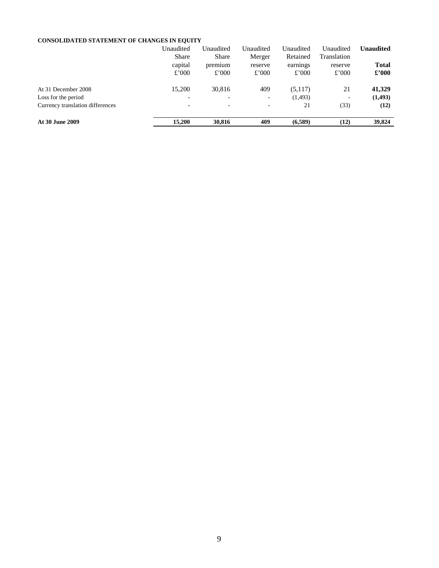# **CONSOLIDATED STATEMENT OF CHANGES IN EQUITY**

|                                  | Unaudited    | Unaudited | Unaudited                | Unaudited | Unaudited   | Unaudited      |
|----------------------------------|--------------|-----------|--------------------------|-----------|-------------|----------------|
|                                  | <b>Share</b> | Share     | Merger                   | Retained  | Translation |                |
|                                  | capital      | premium   | reserve                  | earnings  | reserve     | <b>Total</b>   |
|                                  | £'000        | £'000     | £'000                    | £'000     | £'000       | $\pounds$ '000 |
| At 31 December 2008              | 15,200       | 30,816    | 409                      | (5,117)   | 21          | 41,329         |
| Loss for the period              |              | ۰         | $\overline{\phantom{a}}$ | (1, 493)  | ٠           | (1,493)        |
| Currency translation differences |              | ۰         | $\blacksquare$           | 21        | (33)        | (12)           |
| At 30 June 2009                  | 15,200       | 30,816    | 409                      | (6,589)   | (12)        | 39,824         |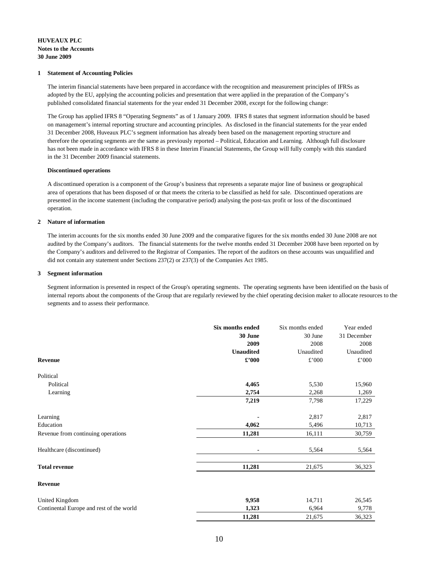#### **HUVEAUX PLC Notes to the Accounts 30 June 2009**

#### **1 Statement of Accounting Policies**

The interim financial statements have been prepared in accordance with the recognition and measurement principles of IFRSs as adopted by the EU, applying the accounting policies and presentation that were applied in the preparation of the Company's published consolidated financial statements for the year ended 31 December 2008, except for the following change:

The Group has applied IFRS 8 "Operating Segments" as of 1 January 2009. IFRS 8 states that segment information should be based on management's internal reporting structure and accounting principles. As disclosed in the financial statements for the year ended 31 December 2008, Huveaux PLC's segment information has already been based on the management reporting structure and therefore the operating segments are the same as previously reported – Political, Education and Learning. Although full disclosure has not been made in accordance with IFRS 8 in these Interim Financial Statements, the Group will fully comply with this standard in the 31 December 2009 financial statements.

#### **Discontinued operations**

A discontinued operation is a component of the Group's business that represents a separate major line of business or geographical area of operations that has been disposed of or that meets the criteria to be classified as held for sale. Discontinued operations are presented in the income statement (including the comparative period) analysing the post-tax profit or loss of the discontinued operation.

#### **2 Nature of information**

The interim accounts for the six months ended 30 June 2009 and the comparative figures for the six months ended 30 June 2008 are not audited by the Company's auditors. The financial statements for the twelve months ended 31 December 2008 have been reported on by the Company's auditors and delivered to the Registrar of Companies. The report of the auditors on these accounts was unqualified and did not contain any statement under Sections 237(2) or 237(3) of the Companies Act 1985.

#### **3 Segment information**

Segment information is presented in respect of the Group's operating segments. The operating segments have been identified on the basis of internal reports about the components of the Group that are regularly reviewed by the chief operating decision maker to allocate resources to the segments and to assess their performance.

|                                          | Six months ended             | Six months ended | Year ended  |
|------------------------------------------|------------------------------|------------------|-------------|
|                                          | 30 June                      | 30 June          | 31 December |
|                                          | 2009                         | 2008             | 2008        |
|                                          | <b>Unaudited</b>             | Unaudited        | Unaudited   |
| Revenue                                  | $\pmb{\pounds}^{\bullet}000$ | £'000            | £'000       |
| Political                                |                              |                  |             |
| Political                                | 4,465                        | 5,530            | 15,960      |
| Learning                                 | 2,754                        | 2,268            | 1,269       |
|                                          | 7,219                        | 7,798            | 17,229      |
| Learning                                 |                              | 2,817            | 2,817       |
| Education                                | 4,062                        | 5,496            | 10,713      |
| Revenue from continuing operations       | 11,281                       | 16,111           | 30,759      |
| Healthcare (discontinued)                |                              | 5,564            | 5,564       |
| <b>Total revenue</b>                     | 11,281                       | 21,675           | 36,323      |
| <b>Revenue</b>                           |                              |                  |             |
| United Kingdom                           | 9,958                        | 14,711           | 26,545      |
| Continental Europe and rest of the world | 1,323                        | 6,964            | 9,778       |
|                                          | 11,281                       | 21,675           | 36,323      |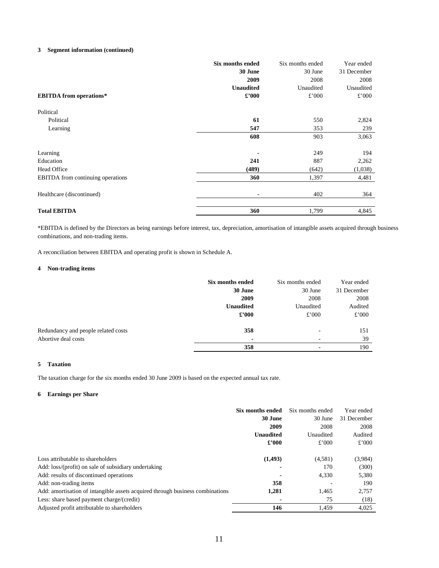#### **3 Segment information (continued)**

|                                          | Six months ended | Six months ended | Year ended  |
|------------------------------------------|------------------|------------------|-------------|
|                                          | 30 June          | 30 June          | 31 December |
|                                          | 2009             | 2008             | 2008        |
|                                          | <b>Unaudited</b> | Unaudited        | Unaudited   |
| <b>EBITDA</b> from operations*           | $\pounds$ '000   | £'000            | £'000       |
| Political                                |                  |                  |             |
| Political                                | 61               | 550              | 2,824       |
| Learning                                 | 547              | 353              | 239         |
|                                          | 608              | 903              | 3,063       |
| Learning                                 |                  | 249              | 194         |
| Education                                | 241              | 887              | 2,262       |
| Head Office                              | (489)            | (642)            | (1,038)     |
| <b>EBITDA</b> from continuing operations | 360              | 1,397            | 4,481       |
| Healthcare (discontinued)                |                  | 402              | 364         |
| <b>Total EBITDA</b>                      | 360              | 1,799            | 4,845       |

\*EBITDA is defined by the Directors as being earnings before interest, tax, depreciation, amortisation of intangible assets acquired through business combinations, and non-trading items.

A reconciliation between EBITDA and operating profit is shown in Schedule A.

#### **4 Non-trading items**

|                                     | Six months ended | Six months ended | Year ended  |
|-------------------------------------|------------------|------------------|-------------|
|                                     | 30 June          | 30 June          | 31 December |
|                                     | 2009             | 2008             | 2008        |
|                                     | <b>Unaudited</b> | Unaudited        | Audited     |
|                                     | $\pounds$ '000   | £'000            | £'000       |
| Redundancy and people related costs | 358              | -                | 151         |
| Abortive deal costs                 | $\blacksquare$   | -                | 39          |
|                                     | 358              | -                | 190         |

#### **5 Taxation**

The taxation charge for the six months ended 30 June 2009 is based on the expected annual tax rate.

#### **6 Earnings per Share**

|                                                                               | Six months ended | Six months ended | Year ended  |
|-------------------------------------------------------------------------------|------------------|------------------|-------------|
|                                                                               | 30 June          | 30 June          | 31 December |
|                                                                               | 2009             | 2008             | 2008        |
|                                                                               | <b>Unaudited</b> | Unaudited        | Audited     |
|                                                                               | $\pounds$ '000   | £'000            | £'000       |
|                                                                               |                  |                  |             |
| Loss attributable to shareholders                                             | (1, 493)         | (4,581)          | (3,984)     |
| Add: loss/(profit) on sale of subsidiary undertaking                          |                  | 170              | (300)       |
| Add: results of discontinued operations                                       |                  | 4.330            | 5,380       |
| Add: non-trading items                                                        | 358              |                  | 190         |
| Add: amortisation of intangible assets acquired through business combinations | 1,281            | 1.465            | 2,757       |
| Less: share based payment charge/(credit)                                     |                  | 75               | (18)        |
| Adjusted profit attributable to shareholders                                  | 146              | 1,459            | 4,025       |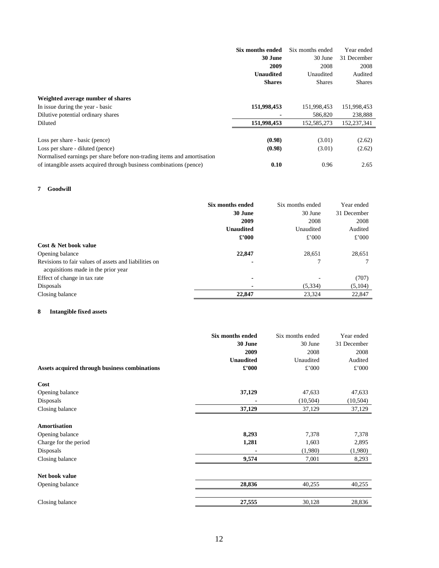|                                                                         | Six months ended | Six months ended | Year ended    |
|-------------------------------------------------------------------------|------------------|------------------|---------------|
|                                                                         | 30 June          | 30 June          | 31 December   |
|                                                                         | 2009             | 2008             | 2008          |
|                                                                         | <b>Unaudited</b> | Unaudited        | Audited       |
|                                                                         | <b>Shares</b>    | <b>Shares</b>    | <b>Shares</b> |
| Weighted average number of shares                                       |                  |                  |               |
| In issue during the year - basic                                        | 151,998,453      | 151,998,453      | 151,998,453   |
| Dilutive potential ordinary shares                                      |                  | 586,820          | 238,888       |
| Diluted                                                                 | 151,998,453      | 152,585,273      | 152,237,341   |
| Loss per share - basic (pence)                                          | (0.98)           | (3.01)           | (2.62)        |
| Loss per share - diluted (pence)                                        | (0.98)           | (3.01)           | (2.62)        |
| Normalised earnings per share before non-trading items and amortisation |                  |                  |               |
| of intangible assets acquired through business combinations (pence)     | 0.10             | 0.96             | 2.65          |

### **7 Goodwill**

|                                                       | Six months ended | Six months ended | Year ended  |
|-------------------------------------------------------|------------------|------------------|-------------|
|                                                       | 30 June          | 30 June          | 31 December |
|                                                       | 2009             | 2008             | 2008        |
|                                                       | <b>Unaudited</b> | Unaudited        | Audited     |
|                                                       | $\pounds$ '000   | £'000            | £'000       |
| Cost & Net book value                                 |                  |                  |             |
| Opening balance                                       | 22,847           | 28,651           | 28,651      |
| Revisions to fair values of assets and liabilities on | ۰                |                  |             |
| acquisitions made in the prior year                   |                  |                  |             |
| Effect of change in tax rate                          | ٠                |                  | (707)       |
| Disposals                                             |                  | (5, 334)         | (5,104)     |
| Closing balance                                       | 22,847           | 23,324           | 22,847      |

# **8 Intangible fixed assets**

|                                               | Six months ended<br>30 June<br>2009<br><b>Unaudited</b><br>$\pounds$ '000 | Six months ended<br>30 June<br>2008<br>Unaudited<br>£'000 | Year ended<br>31 December<br>2008<br>Audited<br>£'000 |
|-----------------------------------------------|---------------------------------------------------------------------------|-----------------------------------------------------------|-------------------------------------------------------|
| Assets acquired through business combinations |                                                                           |                                                           |                                                       |
| Cost                                          |                                                                           |                                                           |                                                       |
| Opening balance                               | 37,129                                                                    | 47,633                                                    | 47,633                                                |
| Disposals                                     | ٠                                                                         | (10, 504)                                                 | (10, 504)                                             |
| Closing balance                               | 37,129                                                                    | 37,129                                                    | 37,129                                                |
| Amortisation                                  |                                                                           |                                                           |                                                       |
| Opening balance                               | 8,293                                                                     | 7,378                                                     | 7,378                                                 |
| Charge for the period                         | 1,281                                                                     | 1,603                                                     | 2,895                                                 |
| Disposals                                     |                                                                           | (1,980)                                                   | (1,980)                                               |
| Closing balance                               | 9,574                                                                     | 7,001                                                     | 8,293                                                 |
| Net book value                                |                                                                           |                                                           |                                                       |
| Opening balance                               | 28,836                                                                    | 40,255                                                    | 40,255                                                |
|                                               |                                                                           |                                                           |                                                       |
| Closing balance                               | 27,555                                                                    | 30,128                                                    | 28,836                                                |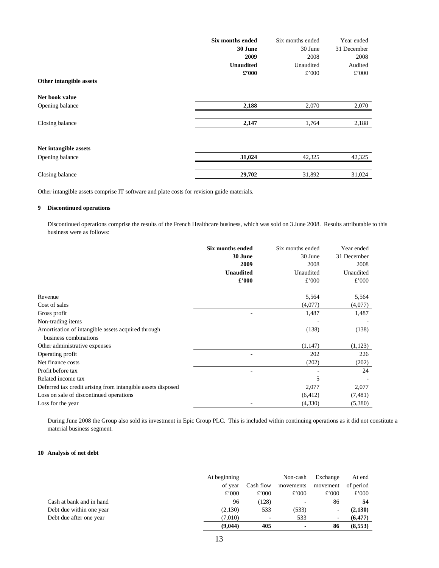|                         | Six months ended<br>30 June<br>2009<br><b>Unaudited</b> | Six months ended<br>30 June<br>2008<br>Unaudited | Year ended<br>31 December<br>2008<br>Audited |
|-------------------------|---------------------------------------------------------|--------------------------------------------------|----------------------------------------------|
| Other intangible assets | $\pounds$ '000                                          | £'000                                            | £'000                                        |
| Net book value          |                                                         |                                                  |                                              |
| Opening balance         | 2,188                                                   | 2,070                                            | 2,070                                        |
| Closing balance         | 2,147                                                   | 1,764                                            | 2,188                                        |
| Net intangible assets   |                                                         |                                                  |                                              |
| Opening balance         | 31,024                                                  | 42,325                                           | 42,325                                       |
| Closing balance         | 29,702                                                  | 31,892                                           | 31,024                                       |

Other intangible assets comprise IT software and plate costs for revision guide materials.

#### **9 Discontinued operations**

 Discontinued operations comprise the results of the French Healthcare business, which was sold on 3 June 2008. Results attributable to this business were as follows:

|                                                             | Six months ended | Six months ended | Year ended  |
|-------------------------------------------------------------|------------------|------------------|-------------|
|                                                             | 30 June          | 30 June          | 31 December |
|                                                             | 2009             | 2008             | 2008        |
|                                                             | <b>Unaudited</b> | Unaudited        | Unaudited   |
|                                                             | $\pounds$ '000   | £'000            | £'000       |
| Revenue                                                     |                  | 5,564            | 5,564       |
| Cost of sales                                               |                  | (4,077)          | (4,077)     |
| Gross profit                                                |                  | 1,487            | 1,487       |
| Non-trading items                                           |                  |                  |             |
| Amortisation of intangible assets acquired through          |                  | (138)            | (138)       |
| business combinations                                       |                  |                  |             |
| Other administrative expenses                               |                  | (1,147)          | (1, 123)    |
| Operating profit                                            |                  | 202              | 226         |
| Net finance costs                                           |                  | (202)            | (202)       |
| Profit before tax                                           |                  |                  | 24          |
| Related income tax                                          |                  | 5                |             |
| Deferred tax credit arising from intangible assets disposed |                  | 2,077            | 2,077       |
| Loss on sale of discontinued operations                     |                  | (6, 412)         | (7, 481)    |
| Loss for the year                                           |                  | (4,330)          | (5,380)     |

 During June 2008 the Group also sold its investment in Epic Group PLC. This is included within continuing operations as it did not constitute a material business segment.

#### **10 Analysis of net debt**

|                          | At beginning |           | Non-cash  | Exchange | At end    |
|--------------------------|--------------|-----------|-----------|----------|-----------|
|                          | of year      | Cash flow | movements | movement | of period |
|                          | £'000        | £'000     | £'000     | £'000    | £'000     |
| Cash at bank and in hand | 96           | (128)     |           | 86       | 54        |
| Debt due within one year | (2,130)      | 533       | (533)     | ٠        | (2,130)   |
| Debt due after one year  | (7.010)      |           | 533       | ٠        | (6, 477)  |
|                          | (9,044)      | 405       |           | 86       | (8,553)   |